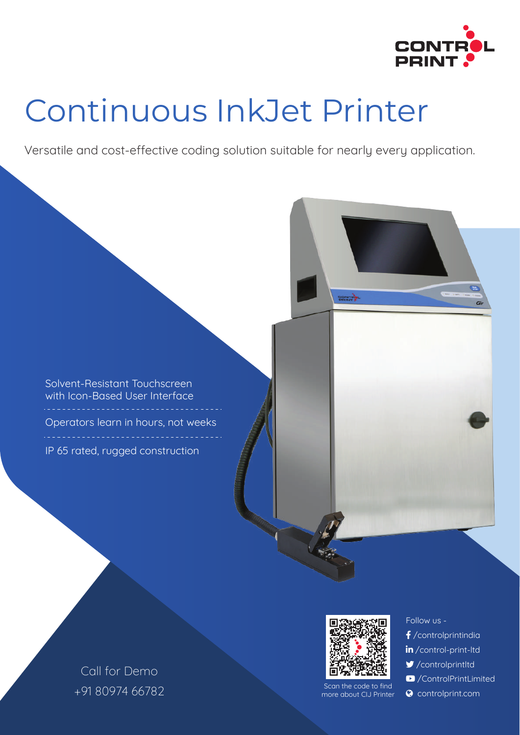

# Continuous InkJet Printer

Versatile and cost-effective coding solution suitable for nearly every application.

Solvent-Resistant Touchscreen with Icon-Based User Interface Operators learn in hours, not weeks IP 65 rated, rugged construction



Scan the code to find more about CIJ Printer

#### Follow us -

- /controlprintindia
- in/control-print-ltd
- /controlprintltd
- /ControlPrintLimited
- **Q** controlprint.com

Call for Demo +91 80974 66782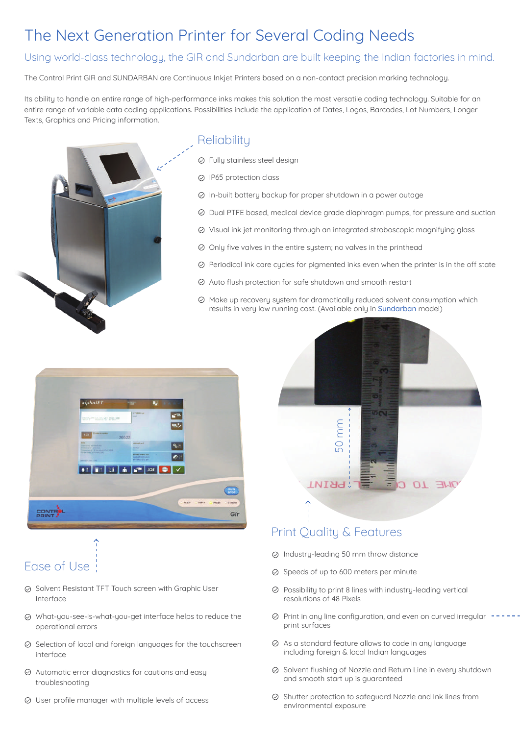## The Next Generation Printer for Several Coding Needs

#### Using world-class technology, the GIR and Sundarban are built keeping the Indian factories in mind.

The Control Print GIR and SUNDARBAN are Continuous Inkjet Printers based on a non-contact precision marking technology.

Its ability to handle an entire range of high-performance inks makes this solution the most versatile coding technology. Suitable for an entire range of variable data coding applications. Possibilities include the application of Dates, Logos, Barcodes, Lot Numbers, Longer Texts, Graphics and Pricing information.



#### **Reliability**

- Fully stainless steel design
- IP65 protection class
- $\odot$  In-built battery backup for proper shutdown in a power outage
- Dual PTFE based, medical device grade diaphragm pumps, for pressure and suction
- Visual ink jet monitoring through an integrated stroboscopic magnifying glass
- $\odot$  Only five valves in the entire system; no valves in the printhead
- $\odot$  Periodical ink care cycles for pigmented inks even when the printer is in the off state
- Auto flush protection for safe shutdown and smooth restart
- $\oslash$  Make up recovery system for dramatically reduced solvent consumption which results in very low running cost. (Available only in Sundarban model)





- Ease of Use
- $\odot$  Solvent Resistant TFT Touch screen with Graphic User Interface
- What-you-see-is-what-you-get interface helps to reduce the operational errors
- $\odot$  Selection of local and foreign languages for the touchscreen interface
- $\oslash$  Automatic error diagnostics for cautions and easy troubleshooting
- User profile manager with multiple levels of access



#### Print Quality & Features

- $\odot$  Industry-leading 50 mm throw distance
- $\odot$  Speeds of up to 600 meters per minute
- $\odot$  Possibility to print 8 lines with industry-leading vertical resolutions of 48 Pixels
- $\odot$  Print in any line configuration, and even on curved irregular print surfaces
- $\oslash$  As a standard feature allows to code in any language including foreign & local Indian languages
- ⊗ Solvent flushing of Nozzle and Return Line in every shutdown and smooth start up is guaranteed
- $\oslash$  Shutter protection to safeguard Nozzle and Ink lines from environmental exposure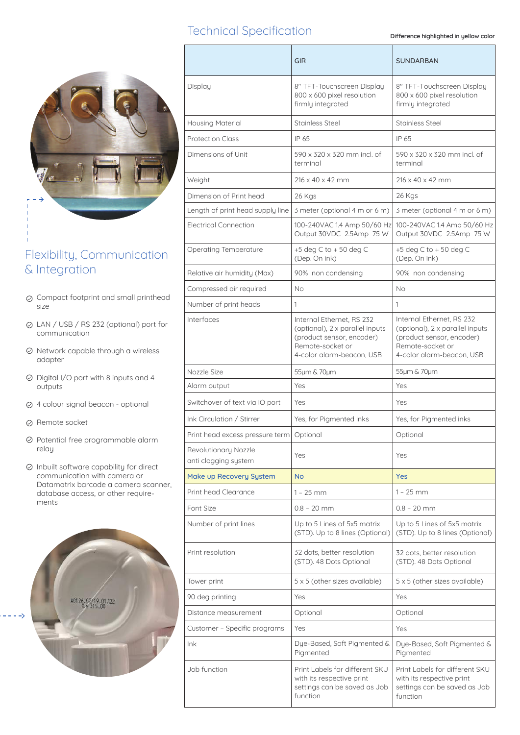#### Technical Specification

**Difference highlighted in yellow color**



### Flexibility, Communication & Integration

- $\odot$  Compact footprint and small printhead size
- LAN / USB / RS 232 (optional) port for communication
- $\odot$  Network capable through a wireless adapter
- $\oslash$  Digital I/O port with 8 inputs and 4 outputs
- 4 colour signal beacon optional
- Remote socket
- $\odot$  Potential free programmable alarm relay
- $\oslash$  Inbuilt software capability for direct communication with camera or Datamatrix barcode a camera scanner, database access, or other requirements



|                                              | <b>GIR</b>                                                                                                                                 | <b>SUNDARBAN</b>                                                                                                                           |
|----------------------------------------------|--------------------------------------------------------------------------------------------------------------------------------------------|--------------------------------------------------------------------------------------------------------------------------------------------|
| Display                                      | 8" TFT-Touchscreen Display<br>800 x 600 pixel resolution<br>firmly integrated                                                              | 8" TFT-Touchscreen Display<br>800 x 600 pixel resolution<br>firmly integrated                                                              |
| <b>Housing Material</b>                      | <b>Stainless Steel</b>                                                                                                                     | <b>Stainless Steel</b>                                                                                                                     |
| <b>Protection Class</b>                      | IP 65                                                                                                                                      | IP 65                                                                                                                                      |
| Dimensions of Unit                           | 590 x 320 x 320 mm incl. of<br>terminal                                                                                                    | 590 x 320 x 320 mm incl. of<br>terminal                                                                                                    |
| Weight                                       | $216 \times 40 \times 42$ mm                                                                                                               | $216 \times 40 \times 42$ mm                                                                                                               |
| Dimension of Print head                      | 26 Kgs                                                                                                                                     | 26 Kgs                                                                                                                                     |
| Length of print head supply line             | 3 meter (optional 4 m or 6 m)                                                                                                              | 3 meter (optional 4 m or 6 m)                                                                                                              |
| <b>Electrical Connection</b>                 | 100-240VAC 1.4 Amp 50/60 Hz<br>Output 30VDC 2.5Amp 75 W                                                                                    | 100-240VAC 1.4 Amp 50/60 Hz<br>Output 30VDC 2.5Amp 75 W                                                                                    |
| <b>Operating Temperature</b>                 | $+5$ deg C to $+50$ deg C<br>(Dep. On ink)                                                                                                 | $+5$ deg C to $+50$ deg C<br>(Dep. On ink)                                                                                                 |
| Relative air humidity (Max)                  | 90% non condensing                                                                                                                         | 90% non condensing                                                                                                                         |
| Compressed air required                      | No                                                                                                                                         | No                                                                                                                                         |
| Number of print heads                        | 1                                                                                                                                          | 1                                                                                                                                          |
| Interfaces                                   | Internal Ethernet, RS 232<br>(optional), 2 x parallel inputs<br>(product sensor, encoder)<br>Remote-socket or<br>4-color alarm-beacon, USB | Internal Ethernet, RS 232<br>(optional), 2 x parallel inputs<br>(product sensor, encoder)<br>Remote-socket or<br>4-color alarm-beacon, USB |
| Nozzle Size                                  | 55µm & 70µm                                                                                                                                | 55µm & 70µm                                                                                                                                |
| Alarm output                                 | Yes                                                                                                                                        | Yes                                                                                                                                        |
| Switchover of text via IO port               | Yes                                                                                                                                        | Yes                                                                                                                                        |
| Ink Circulation / Stirrer                    | Yes, for Pigmented inks                                                                                                                    | Yes, for Pigmented inks                                                                                                                    |
| Print head excess pressure term Optional     |                                                                                                                                            | Optional                                                                                                                                   |
| Revolutionary Nozzle<br>anti clogging system | Yes                                                                                                                                        | Yes                                                                                                                                        |
| Make up Recovery System                      | <b>No</b>                                                                                                                                  | <b>Yes</b>                                                                                                                                 |
| Print head Clearance                         | $1 - 25$ mm                                                                                                                                | 1 – 25 mm                                                                                                                                  |
| Font Size                                    | $0.8 - 20$ mm                                                                                                                              | $0.8 - 20$ mm                                                                                                                              |
| Number of print lines                        | Up to 5 Lines of 5x5 matrix<br>(STD). Up to 8 lines (Optional)                                                                             | Up to 5 Lines of 5x5 matrix<br>(STD). Up to 8 lines (Optional)                                                                             |
| Print resolution                             | 32 dots, better resolution<br>(STD). 48 Dots Optional                                                                                      | 32 dots, better resolution<br>(STD). 48 Dots Optional                                                                                      |
| Tower print                                  | 5 x 5 (other sizes available)                                                                                                              | 5 x 5 (other sizes available)                                                                                                              |
| 90 deg printing                              | Yes                                                                                                                                        | Yes                                                                                                                                        |
| Distance measurement                         | Optional                                                                                                                                   | Optional                                                                                                                                   |
| Customer - Specific programs                 | Yes                                                                                                                                        | Yes                                                                                                                                        |
| lnk                                          | Dye-Based, Soft Pigmented &<br>Pigmented                                                                                                   | Dye-Based, Soft Pigmented &<br>Pigmented                                                                                                   |
| Job function                                 | Print Labels for different SKU<br>with its respective print<br>settings can be saved as Job<br>function                                    | Print Labels for different SKU<br>with its respective print<br>settings can be saved as Job<br>function                                    |